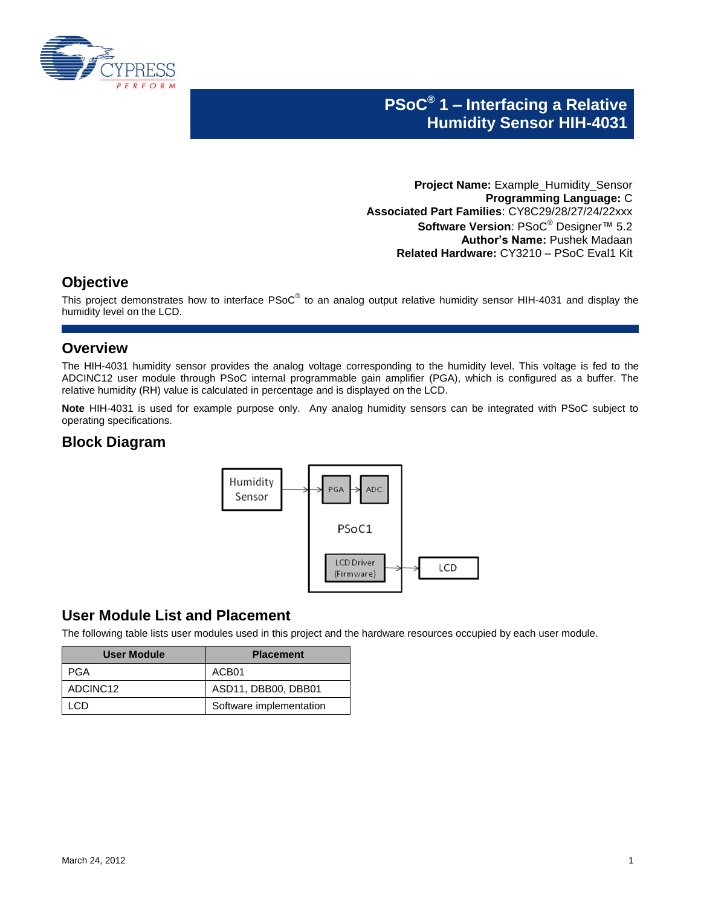

# **PSoC® 1 – Interfacing a Relative Humidity Sensor HIH-4031**

**Project Name:** Example\_Humidity\_Sensor **Programming Language:** C **Associated Part Families**: CY8C29/28/27/24/22xxx **Software Version**: PSoC® Designer™ 5.2 **Author's Name:** Pushek Madaan **Related Hardware:** CY3210 – PSoC Eval1 Kit

### **Objective**

This project demonstrates how to interface PSoC<sup>®</sup> to an analog output relative humidity sensor HIH-4031 and display the humidity level on the LCD.

### **Overview**

The HIH-4031 humidity sensor provides the analog voltage corresponding to the humidity level. This voltage is fed to the ADCINC12 user module through PSoC internal programmable gain amplifier (PGA), which is configured as a buffer. The relative humidity (RH) value is calculated in percentage and is displayed on the LCD.

**Note** HIH-4031 is used for example purpose only. Any analog humidity sensors can be integrated with PSoC subject to operating specifications.

### **Block Diagram**



### **User Module List and Placement**

The following table lists user modules used in this project and the hardware resources occupied by each user module.

| User Module | <b>Placement</b>        |
|-------------|-------------------------|
| PGA         | ACB <sub>01</sub>       |
| ADCINC12    | ASD11, DBB00, DBB01     |
| .CD         | Software implementation |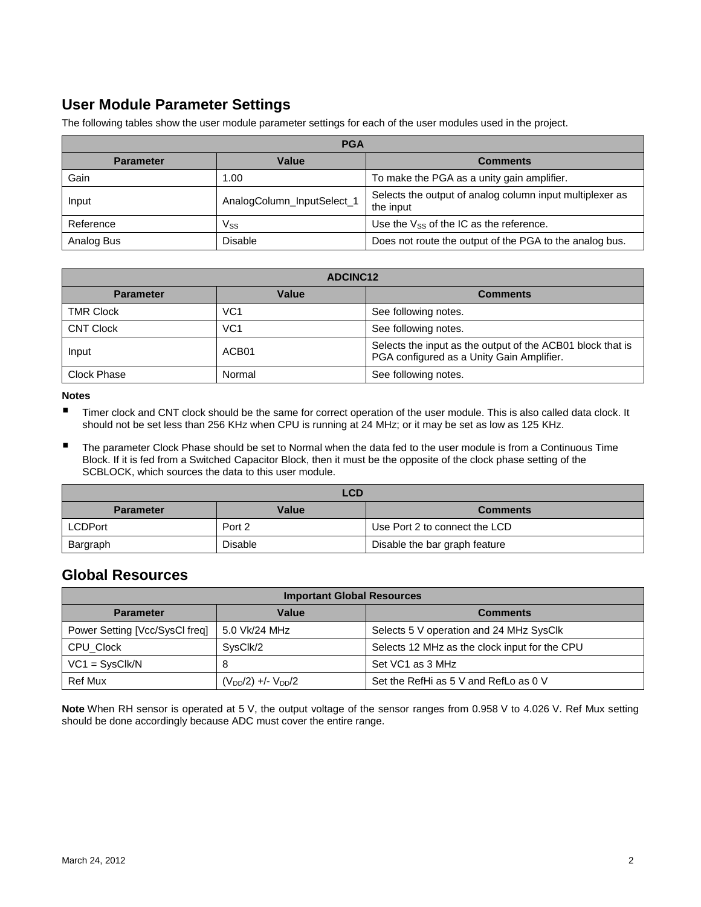# **User Module Parameter Settings**

The following tables show the user module parameter settings for each of the user modules used in the project.

| <b>PGA</b>       |                            |                                                                       |  |
|------------------|----------------------------|-----------------------------------------------------------------------|--|
| <b>Parameter</b> | Value                      | <b>Comments</b>                                                       |  |
| Gain             | 1.00                       | To make the PGA as a unity gain amplifier.                            |  |
| Input            | AnalogColumn_InputSelect_1 | Selects the output of analog column input multiplexer as<br>the input |  |
| Reference        | Vss                        | Use the $V_{SS}$ of the IC as the reference.                          |  |
| Analog Bus       | <b>Disable</b>             | Does not route the output of the PGA to the analog bus.               |  |

| <b>ADCINC12</b>    |                 |                                                                                                         |
|--------------------|-----------------|---------------------------------------------------------------------------------------------------------|
| <b>Parameter</b>   | Value           | <b>Comments</b>                                                                                         |
| <b>TMR Clock</b>   | VC <sub>1</sub> | See following notes.                                                                                    |
| <b>CNT Clock</b>   | VC <sub>1</sub> | See following notes.                                                                                    |
| Input              | ACB01           | Selects the input as the output of the ACB01 block that is<br>PGA configured as a Unity Gain Amplifier. |
| <b>Clock Phase</b> | Normal          | See following notes.                                                                                    |

#### **Notes**

- Timer clock and CNT clock should be the same for correct operation of the user module. This is also called data clock. It should not be set less than 256 KHz when CPU is running at 24 MHz; or it may be set as low as 125 KHz.
- The parameter Clock Phase should be set to Normal when the data fed to the user module is from a Continuous Time Block. If it is fed from a Switched Capacitor Block, then it must be the opposite of the clock phase setting of the SCBLOCK, which sources the data to this user module.

| LCD              |         |                               |  |
|------------------|---------|-------------------------------|--|
| <b>Parameter</b> | Value   | <b>Comments</b>               |  |
| <b>LCDPort</b>   | Port 2  | Use Port 2 to connect the LCD |  |
| Bargraph         | Disable | Disable the bar graph feature |  |

### **Global Resources**

| <b>Important Global Resources</b> |                             |                                               |  |
|-----------------------------------|-----------------------------|-----------------------------------------------|--|
| <b>Parameter</b>                  | Value                       | <b>Comments</b>                               |  |
| Power Setting [Vcc/SysCl freq]    | 5.0 Vk/24 MHz               | Selects 5 V operation and 24 MHz SysClk       |  |
| CPU_Clock                         | SysClk/2                    | Selects 12 MHz as the clock input for the CPU |  |
| $VC1 = SysClk/N$                  | 8                           | Set VC1 as 3 MHz                              |  |
| <b>Ref Mux</b>                    | $(V_{DD}/2)$ +/- $V_{DD}/2$ | Set the RefHi as 5 V and RefLo as 0 V         |  |

**Note** When RH sensor is operated at 5 V, the output voltage of the sensor ranges from 0.958 V to 4.026 V. Ref Mux setting should be done accordingly because ADC must cover the entire range.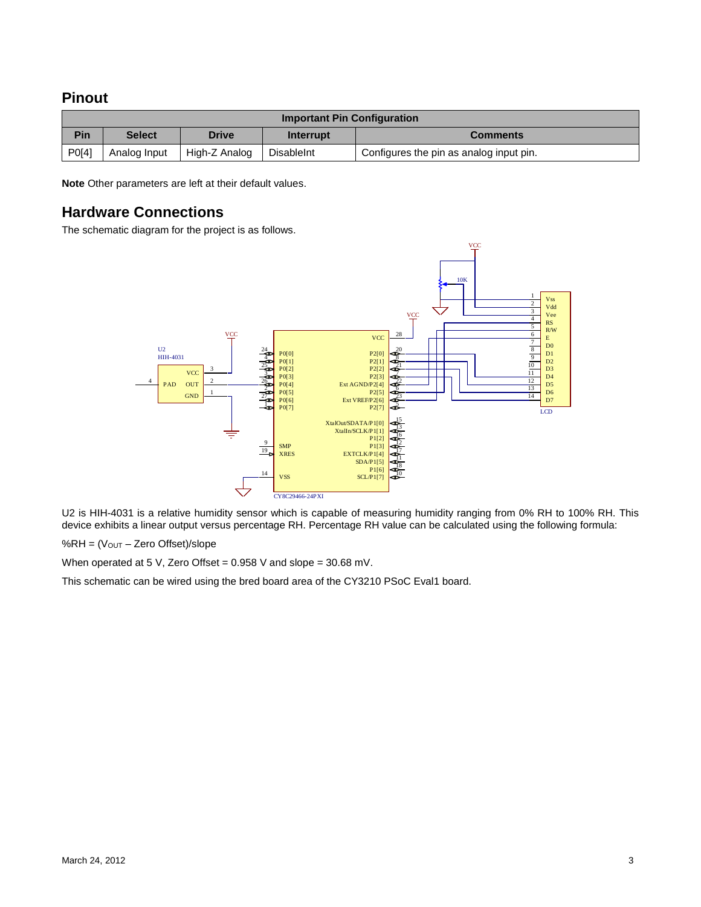#### **Pinout**

| <b>Important Pin Configuration</b> |               |               |                   |                                         |
|------------------------------------|---------------|---------------|-------------------|-----------------------------------------|
| Pin                                | <b>Select</b> | <b>Drive</b>  | Interrupt         | <b>Comments</b>                         |
| P0[4]                              | Analog Input  | High-Z Analog | <b>DisableInt</b> | Configures the pin as analog input pin. |

**Note** Other parameters are left at their default values.

#### **Hardware Connections**

The schematic diagram for the project is as follows.



U2 is HIH-4031 is a relative humidity sensor which is capable of measuring humidity ranging from 0% RH to 100% RH. This device exhibits a linear output versus percentage RH. Percentage RH value can be calculated using the following formula:

%RH =  $(V_{OUT} - Zero$  Offset)/slope

When operated at 5 V, Zero Offset = 0.958 V and slope = 30.68 mV.

This schematic can be wired using the bred board area of the CY3210 PSoC Eval1 board.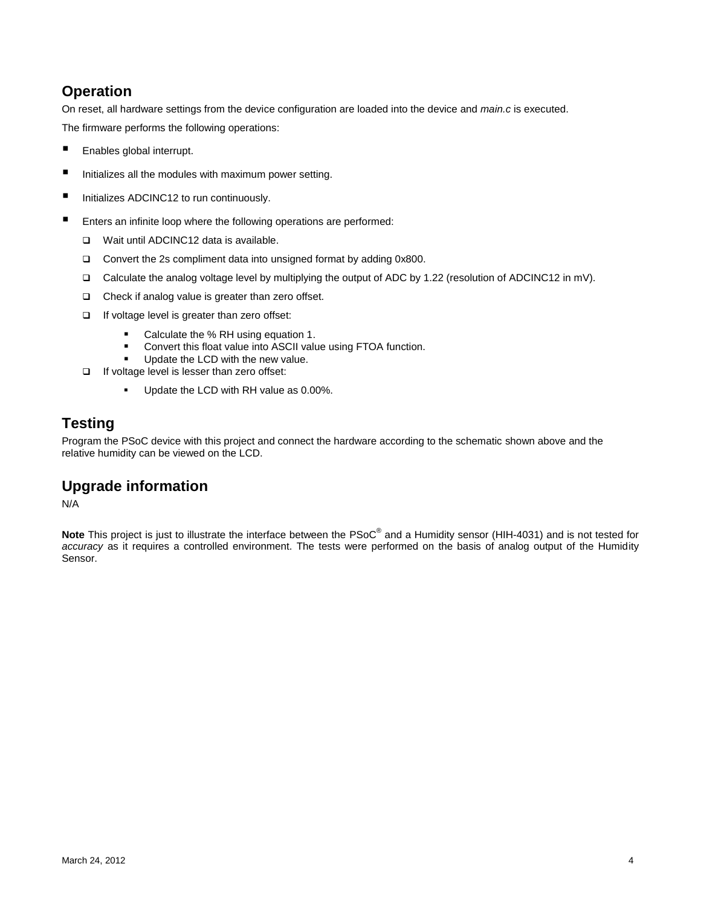## **Operation**

On reset, all hardware settings from the device configuration are loaded into the device and *main.c* is executed. The firmware performs the following operations:

- Enables global interrupt.
- Initializes all the modules with maximum power setting.
- Initializes ADCINC12 to run continuously.
- Enters an infinite loop where the following operations are performed:
	- □ Wait until ADCINC12 data is available.
	- □ Convert the 2s compliment data into unsigned format by adding 0x800.
	- Calculate the analog voltage level by multiplying the output of ADC by 1.22 (resolution of ADCINC12 in mV).
	- Check if analog value is greater than zero offset.
	- $\Box$  If voltage level is greater than zero offset:
		- **Calculate the % RH using equation 1.**
		- **Convert this float value into ASCII value using FTOA function.**
		- **Update the LCD with the new value.**
	- $\Box$  If voltage level is lesser than zero offset:
		- Update the LCD with RH value as 0.00%.

# **Testing**

Program the PSoC device with this project and connect the hardware according to the schematic shown above and the relative humidity can be viewed on the LCD.

# **Upgrade information**

N/A

**Note** This project is just to illustrate the interface between the PSoC® and a Humidity sensor (HIH-4031) and is not tested for *accuracy* as it requires a controlled environment. The tests were performed on the basis of analog output of the Humidity Sensor.